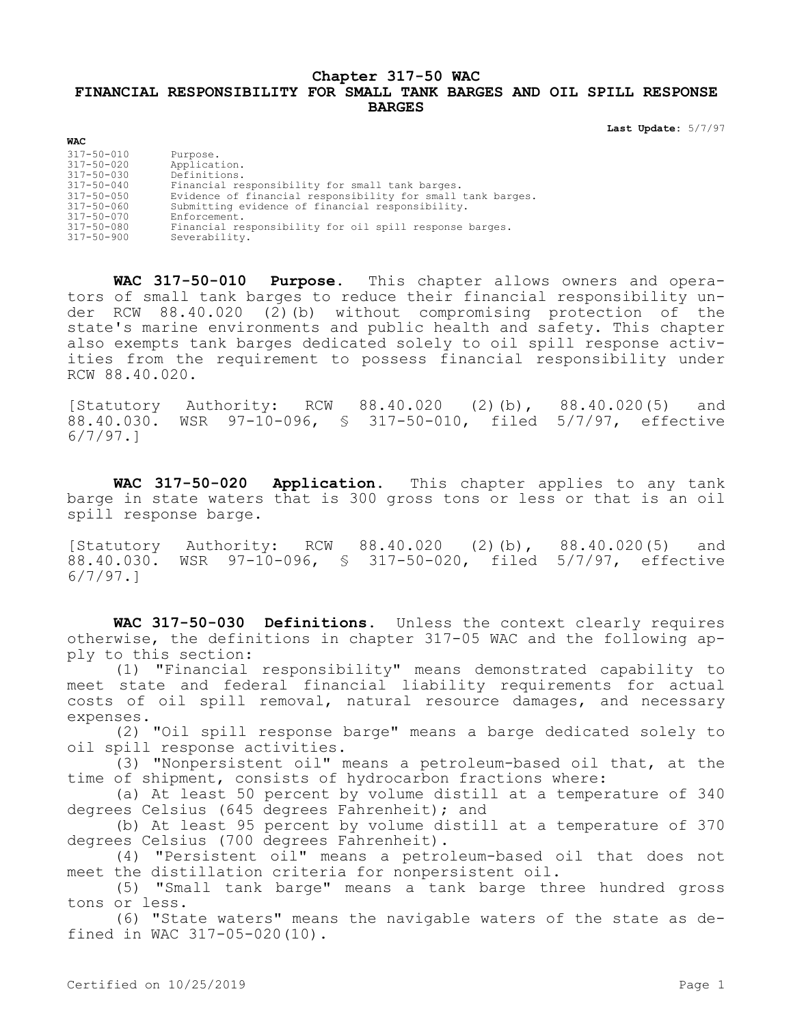## **Chapter 317-50 WAC FINANCIAL RESPONSIBILITY FOR SMALL TANK BARGES AND OIL SPILL RESPONSE BARGES**

**Last Update:** 5/7/97

| 317-50-010       | Purpose.                                                    |
|------------------|-------------------------------------------------------------|
| 317-50-020       | Application.                                                |
| 317-50-030       | Definitions.                                                |
| $317 - 50 - 040$ | Financial responsibility for small tank barges.             |
| 317-50-050       | Evidence of financial responsibility for small tank barges. |
| 317-50-060       | Submitting evidence of financial responsibility.            |
| $317 - 50 - 070$ | Enforcement.                                                |
| 317-50-080       | Financial responsibility for oil spill response barges.     |
| 317-50-900       | Severability.                                               |
|                  |                                                             |

**WAC**

**WAC 317-50-010 Purpose.** This chapter allows owners and operators of small tank barges to reduce their financial responsibility under RCW 88.40.020 (2)(b) without compromising protection of the state's marine environments and public health and safety. This chapter also exempts tank barges dedicated solely to oil spill response activities from the requirement to possess financial responsibility under RCW 88.40.020.

[Statutory Authority: RCW 88.40.020 (2)(b), 88.40.020(5) and 88.40.030. WSR 97-10-096, § 317-50-010, filed 5/7/97, effective 6/7/97.]

**WAC 317-50-020 Application.** This chapter applies to any tank barge in state waters that is 300 gross tons or less or that is an oil spill response barge.

[Statutory Authority: RCW 88.40.020 (2)(b), 88.40.020(5) and 88.40.030. WSR 97-10-096, § 317-50-020, filed 5/7/97, effective 6/7/97.]

**WAC 317-50-030 Definitions.** Unless the context clearly requires otherwise, the definitions in chapter 317-05 WAC and the following apply to this section:

(1) "Financial responsibility" means demonstrated capability to meet state and federal financial liability requirements for actual costs of oil spill removal, natural resource damages, and necessary expenses.

(2) "Oil spill response barge" means a barge dedicated solely to oil spill response activities.

(3) "Nonpersistent oil" means a petroleum-based oil that, at the time of shipment, consists of hydrocarbon fractions where:

(a) At least 50 percent by volume distill at a temperature of 340 degrees Celsius (645 degrees Fahrenheit); and

(b) At least 95 percent by volume distill at a temperature of 370 degrees Celsius (700 degrees Fahrenheit).

(4) "Persistent oil" means a petroleum-based oil that does not meet the distillation criteria for nonpersistent oil.

(5) "Small tank barge" means a tank barge three hundred gross tons or less.

(6) "State waters" means the navigable waters of the state as defined in WAC 317-05-020(10).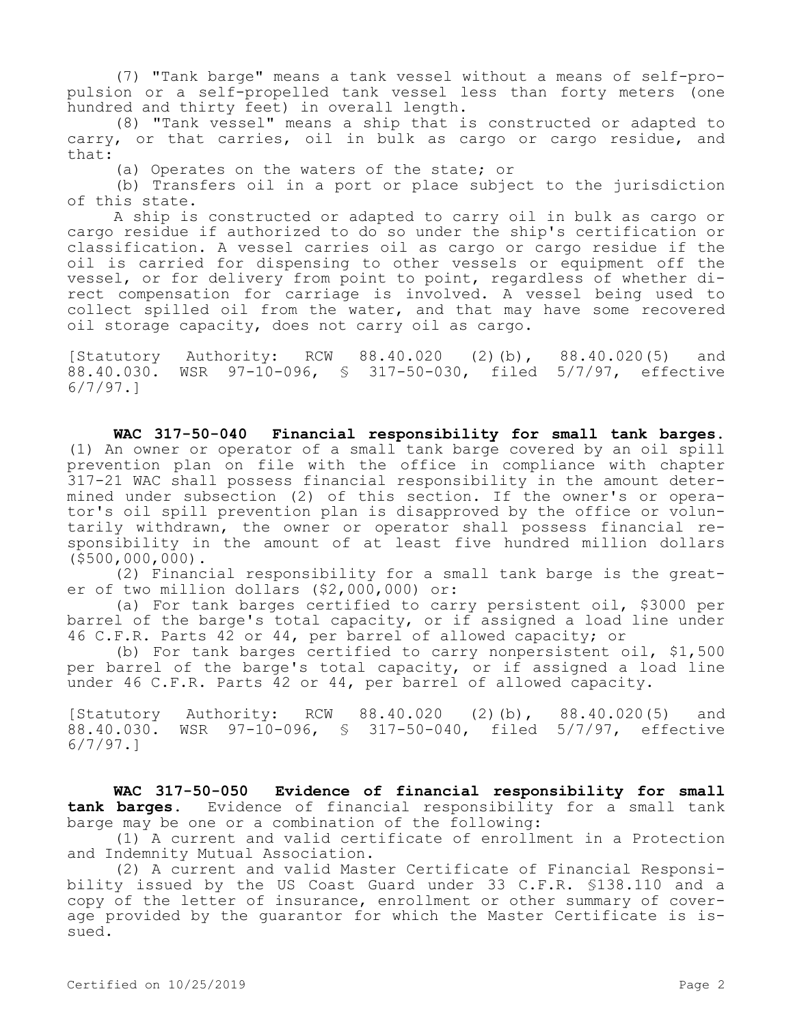(7) "Tank barge" means a tank vessel without a means of self-propulsion or a self-propelled tank vessel less than forty meters (one hundred and thirty feet) in overall length.

(8) "Tank vessel" means a ship that is constructed or adapted to carry, or that carries, oil in bulk as cargo or cargo residue, and that:

(a) Operates on the waters of the state; or

(b) Transfers oil in a port or place subject to the jurisdiction of this state.

A ship is constructed or adapted to carry oil in bulk as cargo or cargo residue if authorized to do so under the ship's certification or classification. A vessel carries oil as cargo or cargo residue if the oil is carried for dispensing to other vessels or equipment off the vessel, or for delivery from point to point, regardless of whether direct compensation for carriage is involved. A vessel being used to collect spilled oil from the water, and that may have some recovered oil storage capacity, does not carry oil as cargo.

[Statutory Authority: RCW 88.40.020 (2)(b), 88.40.020(5) and 88.40.030. WSR 97-10-096, § 317-50-030, filed 5/7/97, effective 6/7/97.]

**WAC 317-50-040 Financial responsibility for small tank barges.**  (1) An owner or operator of a small tank barge covered by an oil spill prevention plan on file with the office in compliance with chapter 317-21 WAC shall possess financial responsibility in the amount determined under subsection (2) of this section. If the owner's or operator's oil spill prevention plan is disapproved by the office or voluntarily withdrawn, the owner or operator shall possess financial responsibility in the amount of at least five hundred million dollars (\$500,000,000).

(2) Financial responsibility for a small tank barge is the greater of two million dollars (\$2,000,000) or:

(a) For tank barges certified to carry persistent oil, \$3000 per barrel of the barge's total capacity, or if assigned a load line under 46 C.F.R. Parts 42 or 44, per barrel of allowed capacity; or

(b) For tank barges certified to carry nonpersistent oil, \$1,500 per barrel of the barge's total capacity, or if assigned a load line under 46 C.F.R. Parts 42 or 44, per barrel of allowed capacity.

[Statutory Authority: RCW 88.40.020 (2)(b), 88.40.020(5) and 88.40.030. WSR 97-10-096, § 317-50-040, filed 5/7/97, effective 6/7/97.]

**WAC 317-50-050 Evidence of financial responsibility for small tank barges.** Evidence of financial responsibility for a small tank barge may be one or a combination of the following:

(1) A current and valid certificate of enrollment in a Protection and Indemnity Mutual Association.

(2) A current and valid Master Certificate of Financial Responsibility issued by the US Coast Guard under 33 C.F.R. §138.110 and a copy of the letter of insurance, enrollment or other summary of coverage provided by the guarantor for which the Master Certificate is issued.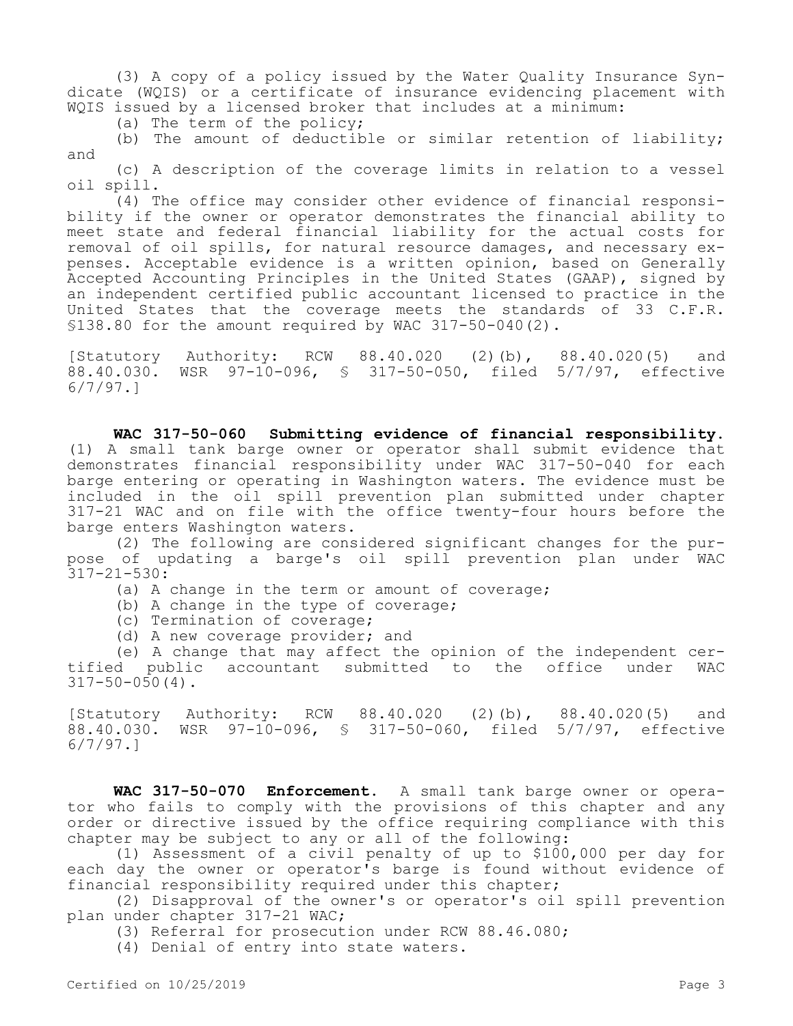(3) A copy of a policy issued by the Water Quality Insurance Syndicate (WQIS) or a certificate of insurance evidencing placement with WQIS issued by a licensed broker that includes at a minimum:

(a) The term of the policy;

(b) The amount of deductible or similar retention of liability; and

(c) A description of the coverage limits in relation to a vessel oil spill.

(4) The office may consider other evidence of financial responsibility if the owner or operator demonstrates the financial ability to meet state and federal financial liability for the actual costs for removal of oil spills, for natural resource damages, and necessary expenses. Acceptable evidence is a written opinion, based on Generally Accepted Accounting Principles in the United States (GAAP), signed by an independent certified public accountant licensed to practice in the United States that the coverage meets the standards of 33 C.F.R. §138.80 for the amount required by WAC 317-50-040(2).

[Statutory Authority: RCW 88.40.020 (2)(b), 88.40.020(5) and 88.40.030. WSR 97-10-096, § 317-50-050, filed 5/7/97, effective 6/7/97.]

**WAC 317-50-060 Submitting evidence of financial responsibility.**  (1) A small tank barge owner or operator shall submit evidence that demonstrates financial responsibility under WAC 317-50-040 for each barge entering or operating in Washington waters. The evidence must be included in the oil spill prevention plan submitted under chapter 317-21 WAC and on file with the office twenty-four hours before the barge enters Washington waters.

(2) The following are considered significant changes for the purpose of updating a barge's oil spill prevention plan under WAC  $317 - 21 - 530:$ 

- (a) A change in the term or amount of coverage;
- (b) A change in the type of coverage;
- (c) Termination of coverage;
- (d) A new coverage provider; and

(e) A change that may affect the opinion of the independent certified public accountant submitted to the office under WAC  $317 - 50 - 050(4)$ .

[Statutory Authority: RCW 88.40.020 (2)(b), 88.40.020(5) and 88.40.030. WSR 97-10-096, § 317-50-060, filed 5/7/97, effective 6/7/97.]

**WAC 317-50-070 Enforcement.** A small tank barge owner or operator who fails to comply with the provisions of this chapter and any order or directive issued by the office requiring compliance with this chapter may be subject to any or all of the following:

(1) Assessment of a civil penalty of up to \$100,000 per day for each day the owner or operator's barge is found without evidence of financial responsibility required under this chapter;

(2) Disapproval of the owner's or operator's oil spill prevention plan under chapter 317-21 WAC;

(3) Referral for prosecution under RCW 88.46.080;

(4) Denial of entry into state waters.